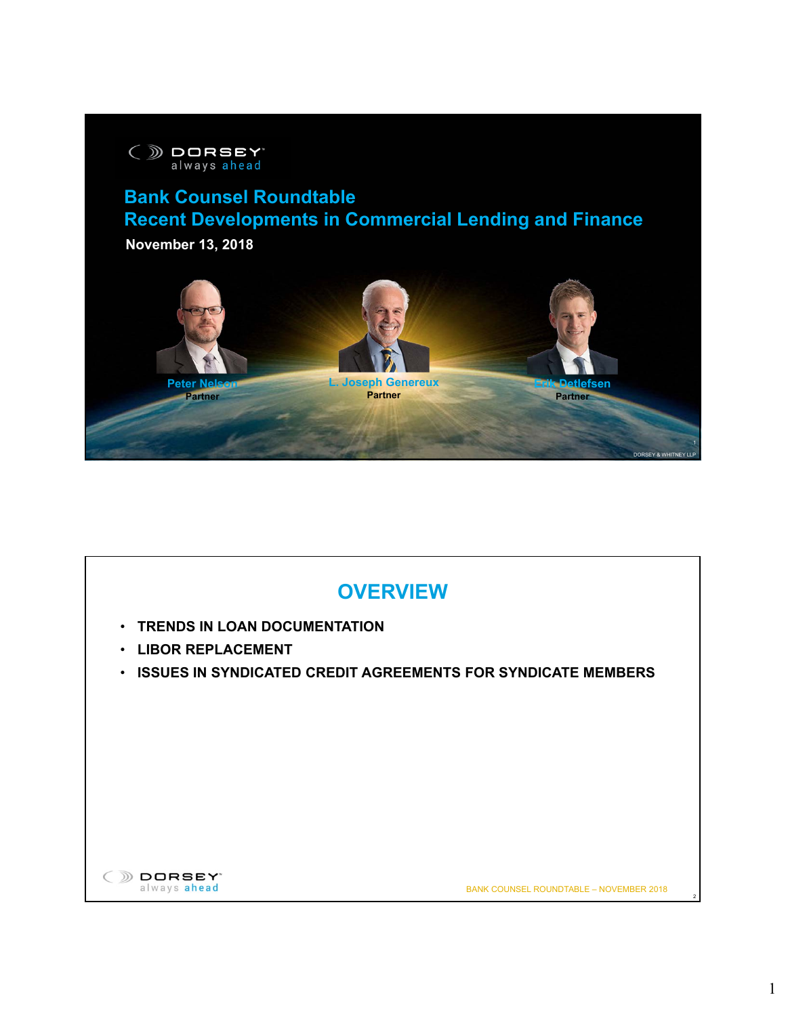

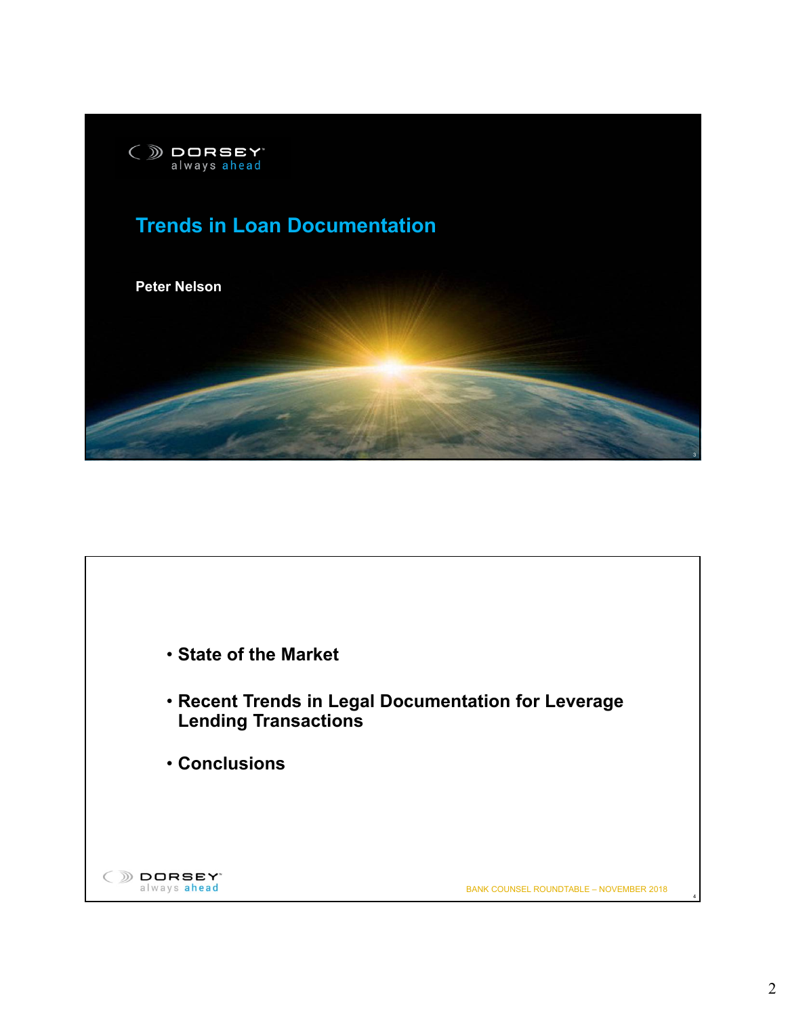

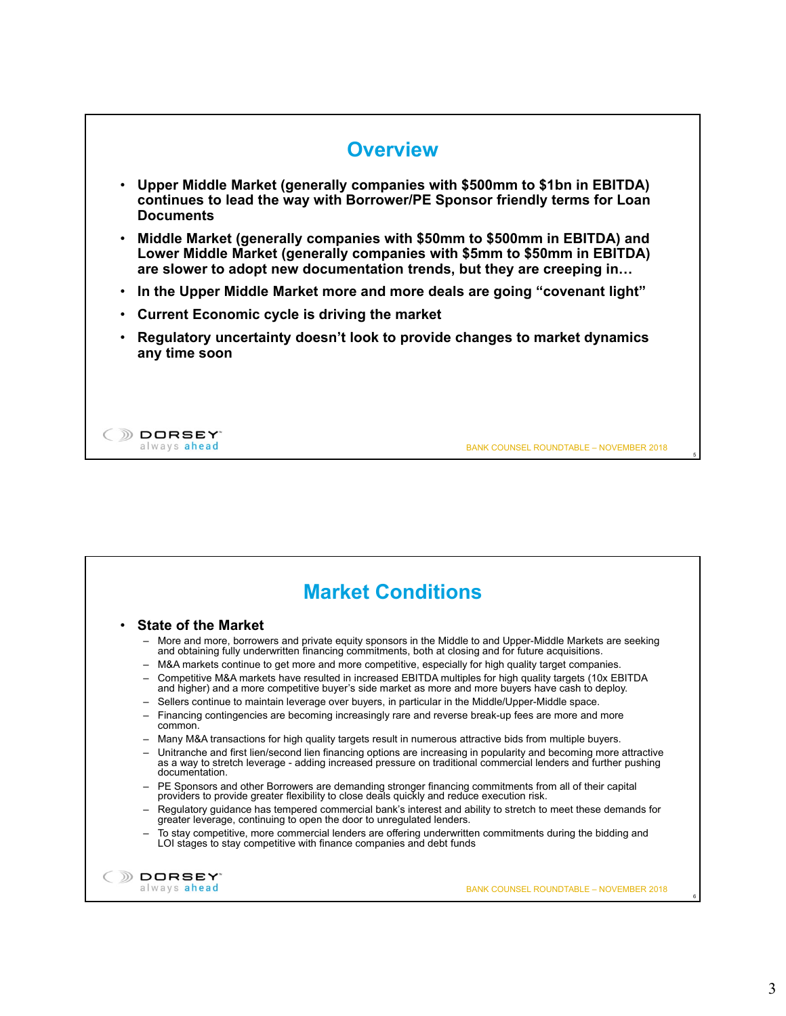

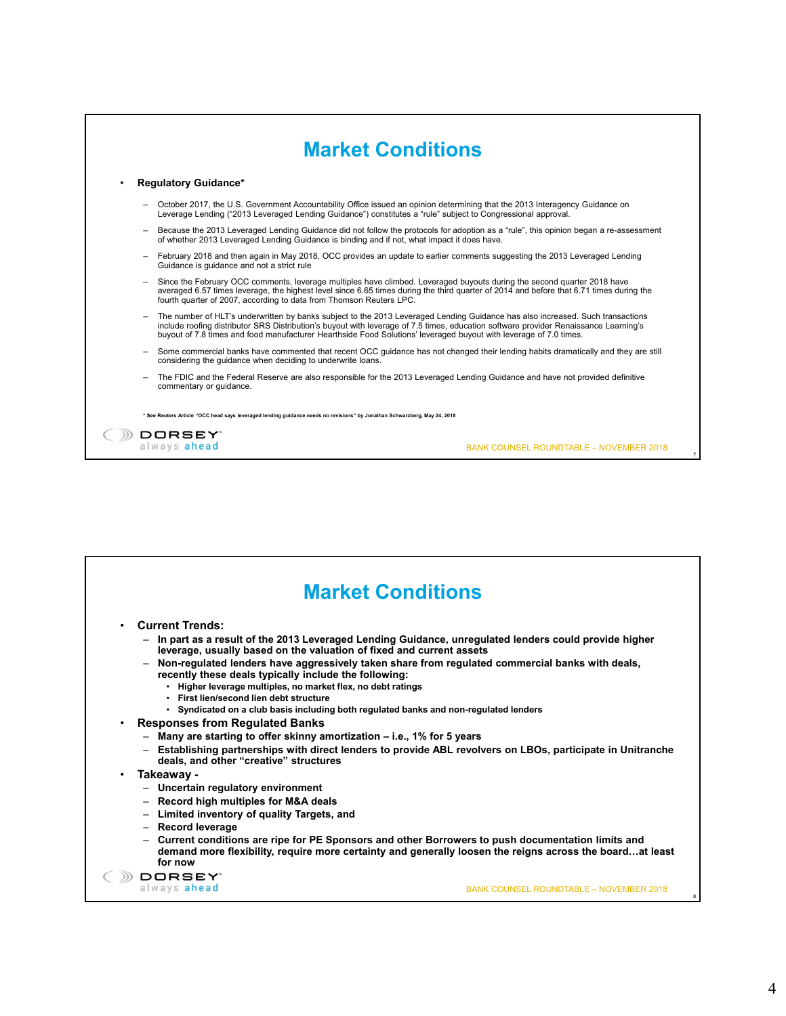

| <b>Current Trends:</b><br>- In part as a result of the 2013 Leveraged Lending Guidance, unregulated lenders could provide higher                                                                                          |
|---------------------------------------------------------------------------------------------------------------------------------------------------------------------------------------------------------------------------|
| leverage, usually based on the valuation of fixed and current assets                                                                                                                                                      |
| - Non-regulated lenders have aggressively taken share from regulated commercial banks with deals,<br>recently these deals typically include the following:                                                                |
| . Higher leverage multiples, no market flex, no debt ratings                                                                                                                                                              |
| • First lien/second lien debt structure<br>• Syndicated on a club basis including both regulated banks and non-regulated lenders                                                                                          |
| <b>Responses from Regulated Banks</b>                                                                                                                                                                                     |
| - Many are starting to offer skinny amortization – i.e., 1% for 5 years                                                                                                                                                   |
| - Establishing partnerships with direct lenders to provide ABL revolvers on LBOs, participate in Unitranche<br>deals, and other "creative" structures                                                                     |
| Takeaway -                                                                                                                                                                                                                |
| - Uncertain regulatory environment                                                                                                                                                                                        |
| - Record high multiples for M&A deals                                                                                                                                                                                     |
| - Limited inventory of quality Targets, and                                                                                                                                                                               |
| - Record leverage                                                                                                                                                                                                         |
| - Current conditions are ripe for PE Sponsors and other Borrowers to push documentation limits and<br>demand more flexibility, require more certainty and generally loosen the reigns across the boardat least<br>for now |
| DORSEY <sup>*</sup>                                                                                                                                                                                                       |
| always ahead<br><b>BANK COUNSEL ROUNDTABLE - NOVEMBER 2018</b>                                                                                                                                                            |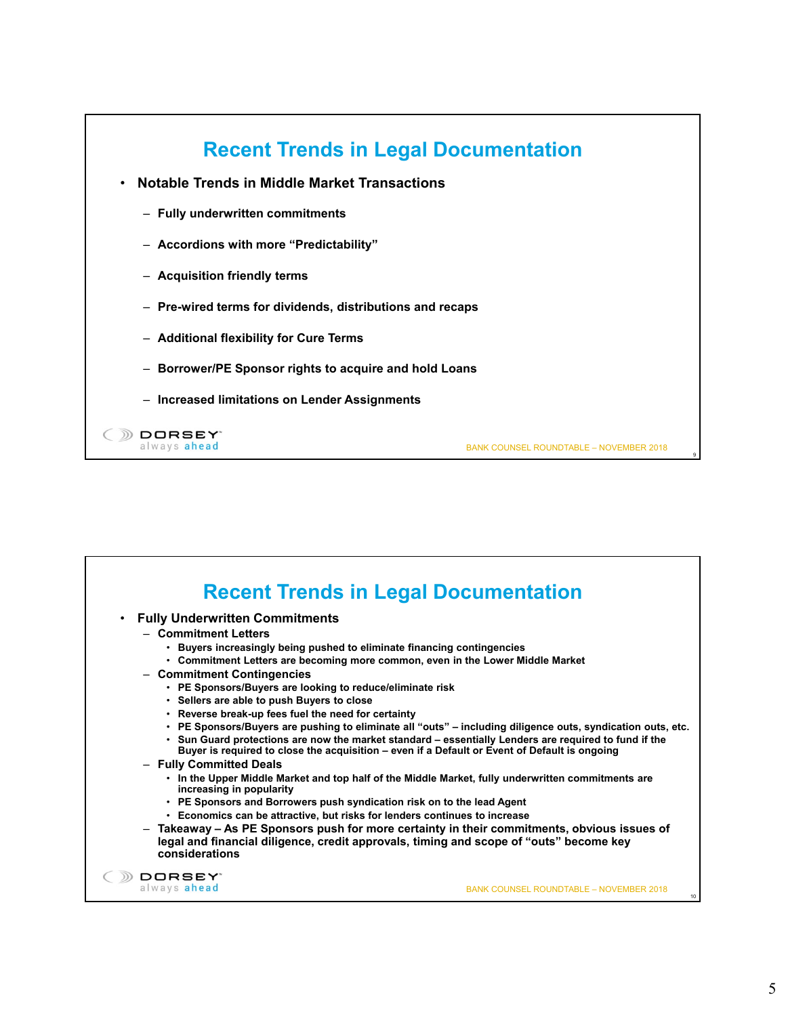

| <b>Fully Underwritten Commitments</b><br>٠                                                                                                                                       |                                                                                                                                                                                                                                                                                                                                                                                                                             |
|----------------------------------------------------------------------------------------------------------------------------------------------------------------------------------|-----------------------------------------------------------------------------------------------------------------------------------------------------------------------------------------------------------------------------------------------------------------------------------------------------------------------------------------------------------------------------------------------------------------------------|
| - Commitment Letters                                                                                                                                                             |                                                                                                                                                                                                                                                                                                                                                                                                                             |
| • Buyers increasingly being pushed to eliminate financing contingencies                                                                                                          |                                                                                                                                                                                                                                                                                                                                                                                                                             |
|                                                                                                                                                                                  | • Commitment Letters are becoming more common, even in the Lower Middle Market                                                                                                                                                                                                                                                                                                                                              |
| - Commitment Contingencies<br>• PE Sponsors/Buyers are looking to reduce/eliminate risk                                                                                          |                                                                                                                                                                                                                                                                                                                                                                                                                             |
| • Sellers are able to push Buyers to close                                                                                                                                       |                                                                                                                                                                                                                                                                                                                                                                                                                             |
| • Reverse break-up fees fuel the need for certainty                                                                                                                              |                                                                                                                                                                                                                                                                                                                                                                                                                             |
| - Fully Committed Deals                                                                                                                                                          | . PE Sponsors/Buyers are pushing to eliminate all "outs" – including diligence outs, syndication outs, etc.<br>· Sun Guard protections are now the market standard - essentially Lenders are required to fund if the<br>Buyer is required to close the acquisition – even if a Default or Event of Default is ongoing<br>. In the Upper Middle Market and top half of the Middle Market, fully underwritten commitments are |
| increasing in popularity<br>• PE Sponsors and Borrowers push syndication risk on to the lead Agent<br>• Economics can be attractive, but risks for lenders continues to increase |                                                                                                                                                                                                                                                                                                                                                                                                                             |
| considerations                                                                                                                                                                   | - Takeaway – As PE Sponsors push for more certainty in their commitments, obvious issues of<br>legal and financial diligence, credit approvals, timing and scope of "outs" become key                                                                                                                                                                                                                                       |
| <b>DORSEY</b>                                                                                                                                                                    |                                                                                                                                                                                                                                                                                                                                                                                                                             |
| always ahead                                                                                                                                                                     | <b>BANK COUNSEL ROUNDTABLE - NOVEMBER 2018</b>                                                                                                                                                                                                                                                                                                                                                                              |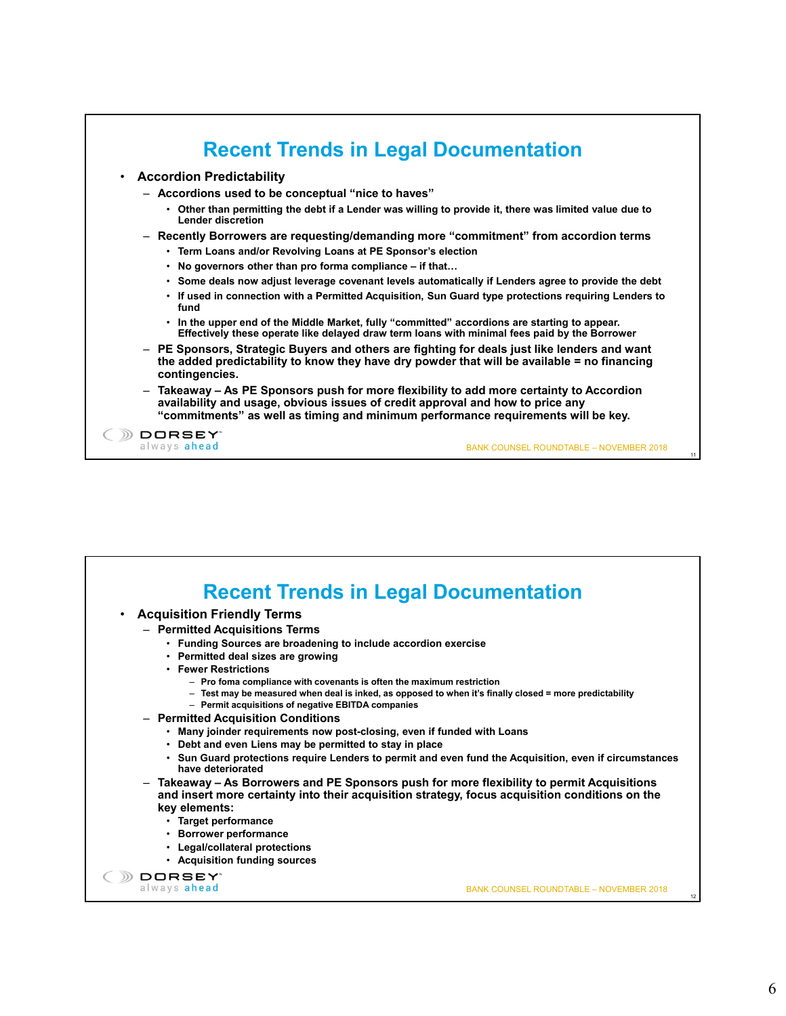

|                                                                                                   | <b>Recent Trends in Legal Documentation</b>                                                                                                                                                  |
|---------------------------------------------------------------------------------------------------|----------------------------------------------------------------------------------------------------------------------------------------------------------------------------------------------|
| <b>Acquisition Friendly Terms</b><br>$\bullet$                                                    |                                                                                                                                                                                              |
| - Permitted Acquisitions Terms                                                                    |                                                                                                                                                                                              |
| • Funding Sources are broadening to include accordion exercise                                    |                                                                                                                                                                                              |
| • Permitted deal sizes are growing                                                                |                                                                                                                                                                                              |
| • Fewer Restrictions                                                                              |                                                                                                                                                                                              |
| - Pro foma compliance with covenants is often the maximum restriction                             |                                                                                                                                                                                              |
| - Permit acquisitions of negative EBITDA companies                                                | - Test may be measured when deal is inked, as opposed to when it's finally closed = more predictability                                                                                      |
| - Permitted Acquisition Conditions                                                                |                                                                                                                                                                                              |
| . Many joinder requirements now post-closing, even if funded with Loans                           |                                                                                                                                                                                              |
| • Debt and even Liens may be permitted to stay in place                                           |                                                                                                                                                                                              |
|                                                                                                   | . Sun Guard protections require Lenders to permit and even fund the Acquisition, even if circumstances                                                                                       |
| have deteriorated                                                                                 |                                                                                                                                                                                              |
| key elements:<br>• Target performance<br>• Borrower performance<br>• Legal/collateral protections | - Takeaway – As Borrowers and PE Sponsors push for more flexibility to permit Acquisitions<br>and insert more certainty into their acquisition strategy, focus acquisition conditions on the |
| • Acquisition funding sources                                                                     |                                                                                                                                                                                              |
| <b>DORSEY</b> *<br>always ahead                                                                   |                                                                                                                                                                                              |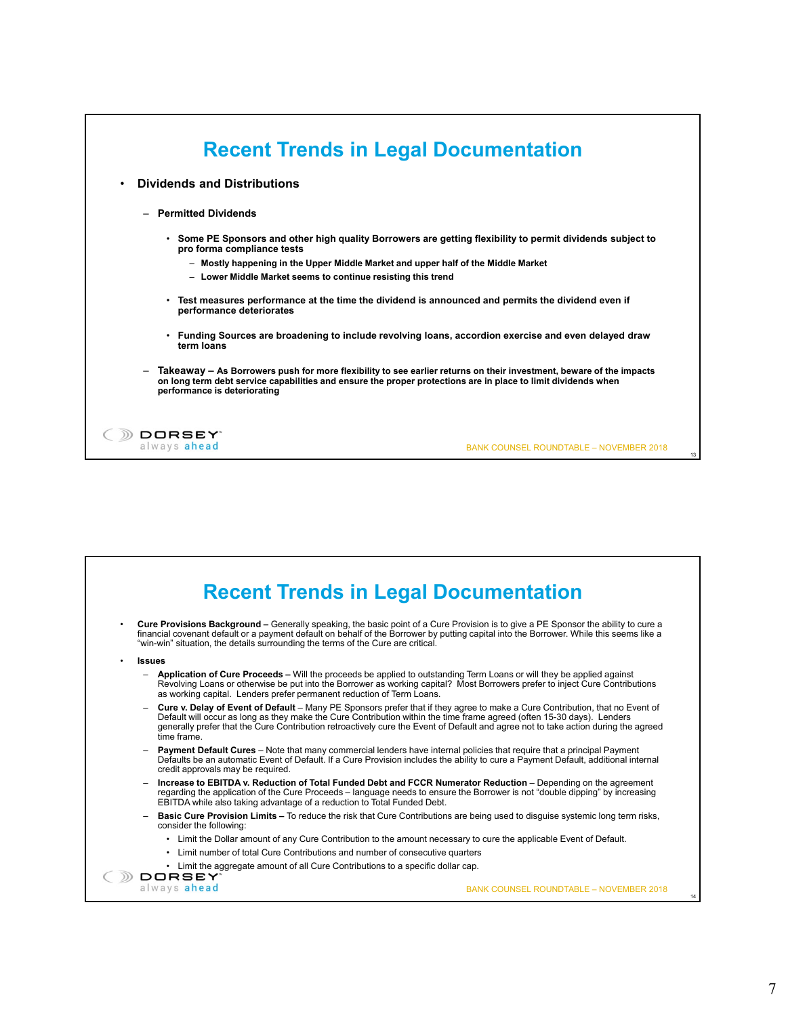| <b>Dividends and Distributions</b><br>$\bullet$ |                                                                                                                                                                                                                                                                      |  |
|-------------------------------------------------|----------------------------------------------------------------------------------------------------------------------------------------------------------------------------------------------------------------------------------------------------------------------|--|
| - Permitted Dividends                           |                                                                                                                                                                                                                                                                      |  |
|                                                 | . Some PE Sponsors and other high quality Borrowers are getting flexibility to permit dividends subject to<br>pro forma compliance tests                                                                                                                             |  |
|                                                 | - Mostly happening in the Upper Middle Market and upper half of the Middle Market                                                                                                                                                                                    |  |
|                                                 | - Lower Middle Market seems to continue resisting this trend                                                                                                                                                                                                         |  |
|                                                 | Test measures performance at the time the dividend is announced and permits the dividend even if<br>performance deteriorates                                                                                                                                         |  |
|                                                 | Funding Sources are broadening to include revolving loans, accordion exercise and even delayed draw<br>term loans                                                                                                                                                    |  |
| $\overline{\phantom{m}}$                        | Takeaway – As Borrowers push for more flexibility to see earlier returns on their investment, beware of the impacts<br>on long term debt service capabilities and ensure the proper protections are in place to limit dividends when<br>performance is deteriorating |  |

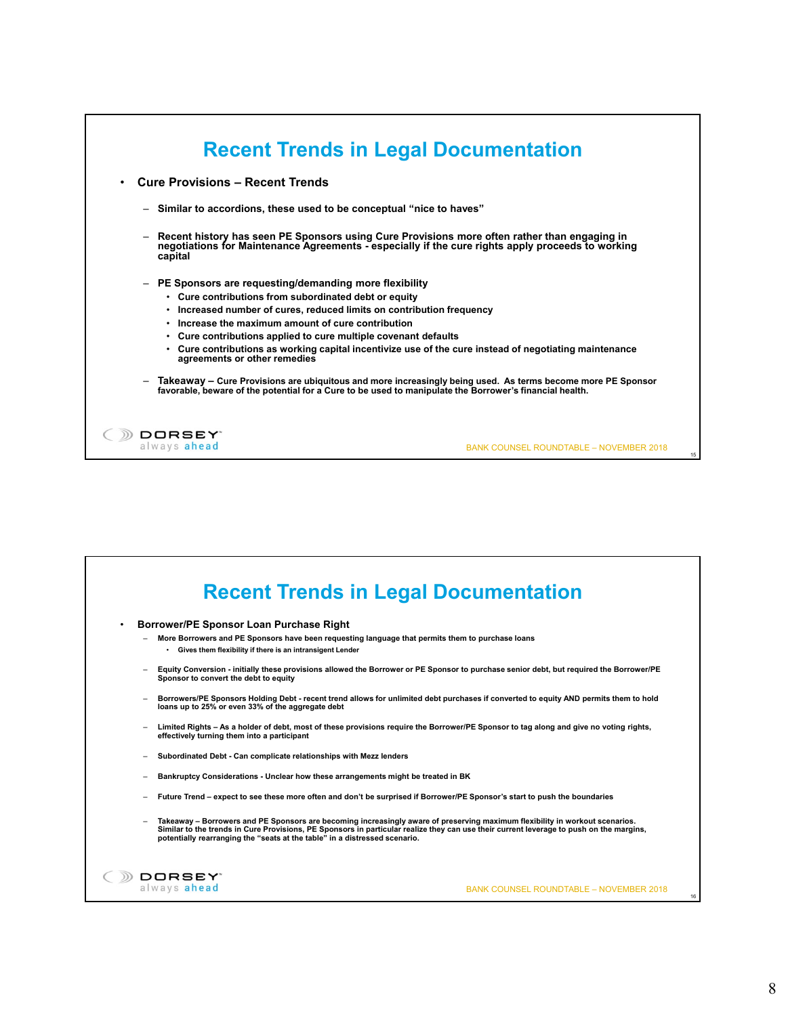| <b>Cure Provisions - Recent Trends</b>                                                                                                                                                                       |                                                                                                             |
|--------------------------------------------------------------------------------------------------------------------------------------------------------------------------------------------------------------|-------------------------------------------------------------------------------------------------------------|
|                                                                                                                                                                                                              |                                                                                                             |
| - Similar to accordions, these used to be conceptual "nice to haves"                                                                                                                                         |                                                                                                             |
| Recent history has seen PE Sponsors using Cure Provisions more often rather than engaging in<br>negotiations for Maintenance Agreements - especially if the cure rights apply proceeds to working<br>capital |                                                                                                             |
| PE Sponsors are requesting/demanding more flexibility<br>$\overline{\phantom{m}}$                                                                                                                            |                                                                                                             |
| • Cure contributions from subordinated debt or equity                                                                                                                                                        |                                                                                                             |
| Increased number of cures, reduced limits on contribution frequency<br>٠<br>Increase the maximum amount of cure contribution<br>٠                                                                            |                                                                                                             |
| Cure contributions applied to cure multiple covenant defaults<br>٠                                                                                                                                           |                                                                                                             |
| ٠<br>agreements or other remedies                                                                                                                                                                            | Cure contributions as working capital incentivize use of the cure instead of negotiating maintenance        |
| favorable, beware of the potential for a Cure to be used to manipulate the Borrower's financial health.                                                                                                      | Takeaway - Cure Provisions are ubiquitous and more increasingly being used. As terms become more PE Sponsor |
| DORSEY"                                                                                                                                                                                                      |                                                                                                             |
| always ahead                                                                                                                                                                                                 | <b>BANK COUNSEL ROUNDTABLE - NOVEMBER 2018</b>                                                              |

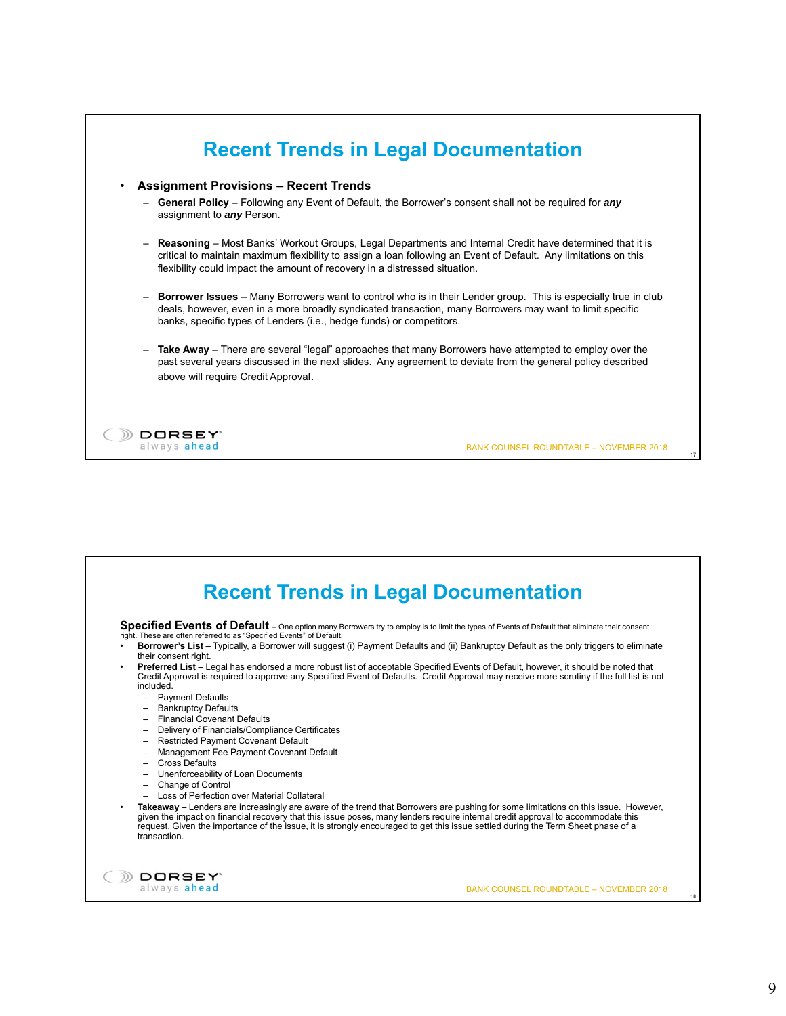

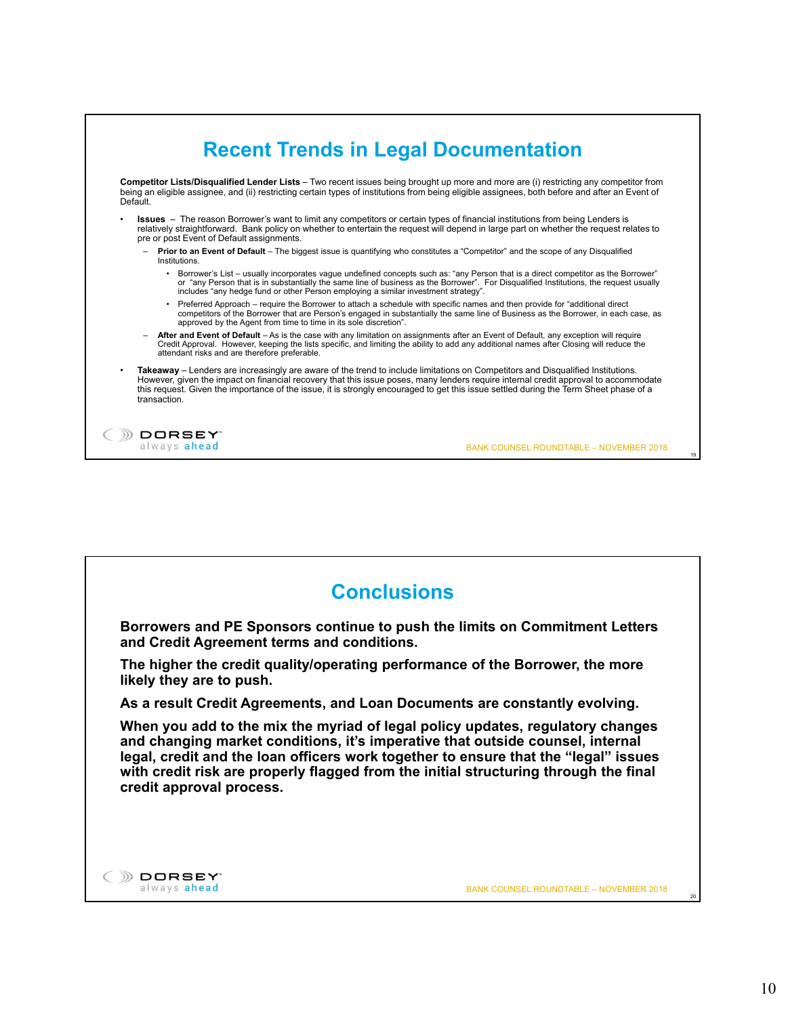| Default.                 | Competitor Lists/Disqualified Lender Lists – Two recent issues being brought up more and more are (i) restricting any competitor from<br>being an eligible assignee, and (ii) restricting certain types of institutions from being eligible assignees, both before and after an Event of                                                                                                                                               |  |
|--------------------------|----------------------------------------------------------------------------------------------------------------------------------------------------------------------------------------------------------------------------------------------------------------------------------------------------------------------------------------------------------------------------------------------------------------------------------------|--|
|                          | <b>Issues</b> – The reason Borrower's want to limit any competitors or certain types of financial institutions from being Lenders is<br>relatively straightforward. Bank policy on whether to entertain the request will depend in large part on whether the request relates to<br>pre or post Event of Default assignments.                                                                                                           |  |
| $\overline{\phantom{m}}$ | <b>Prior to an Event of Default</b> – The biggest issue is quantifying who constitutes a "Competitor" and the scope of any Disqualified<br>Institutions                                                                                                                                                                                                                                                                                |  |
|                          | Borrower's List – usually incorporates vague undefined concepts such as: "any Person that is a direct competitor as the Borrower"<br>or "any Person that is in substantially the same line of business as the Borrower". For Disqualified Institutions, the request usually<br>includes "any hedge fund or other Person employing a similar investment strategy".                                                                      |  |
|                          | Preferred Approach – require the Borrower to attach a schedule with specific names and then provide for "additional direct"<br>$\bullet$<br>competitors of the Borrower that are Person's engaged in substantially the same line of Business as the Borrower, in each case, as<br>approved by the Agent from time to time in its sole discretion".                                                                                     |  |
| $\overline{\phantom{0}}$ | After and Event of Default – As is the case with any limitation on assignments after an Event of Default, any exception will require<br>Credit Approval. However, keeping the lists specific, and limiting the ability to add any additional names after Closing will reduce the<br>attendant risks and are therefore preferable.                                                                                                      |  |
|                          | <b>Takeaway</b> – Lenders are increasingly are aware of the trend to include limitations on Competitors and Disqualified Institutions.<br>However, given the impact on financial recovery that this issue poses, many lenders require internal credit approval to accommodate<br>this request. Given the importance of the issue, it is strongly encouraged to get this issue settled during the Term Sheet phase of a<br>transaction. |  |

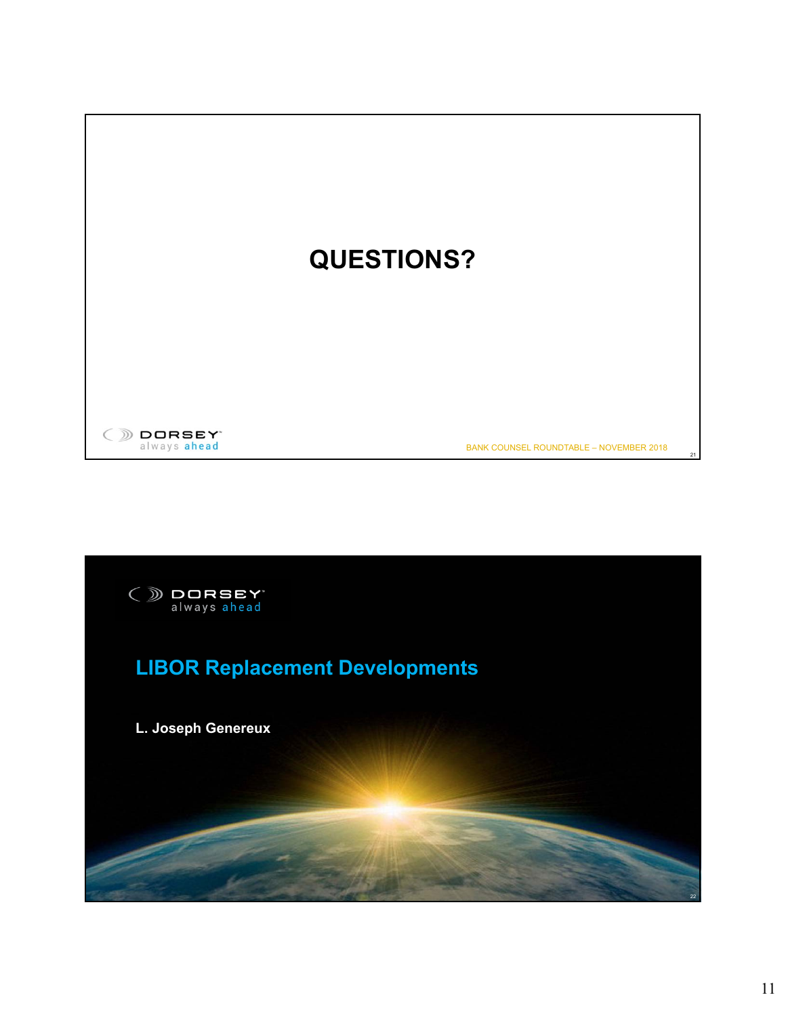

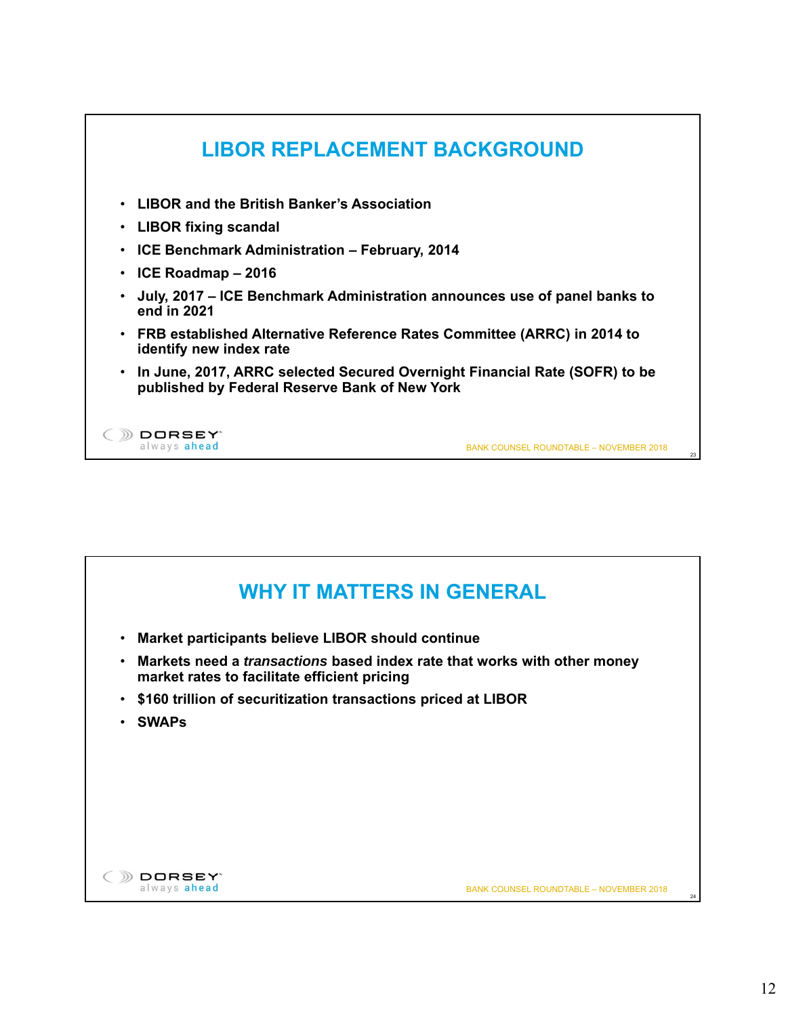

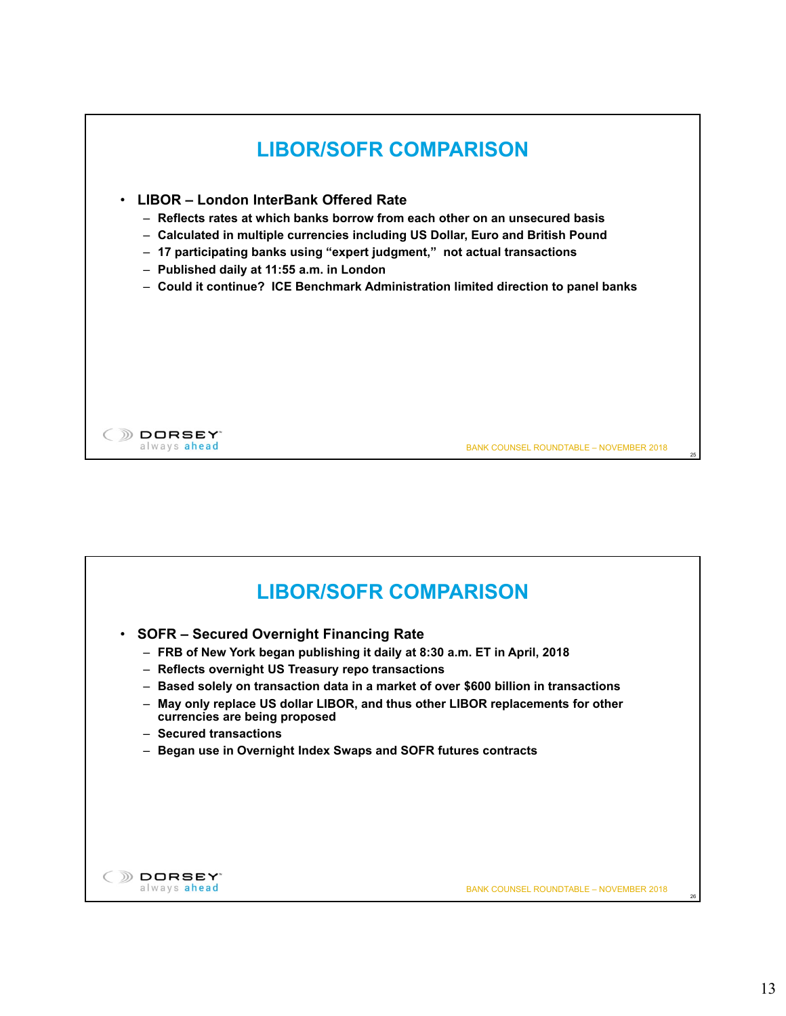

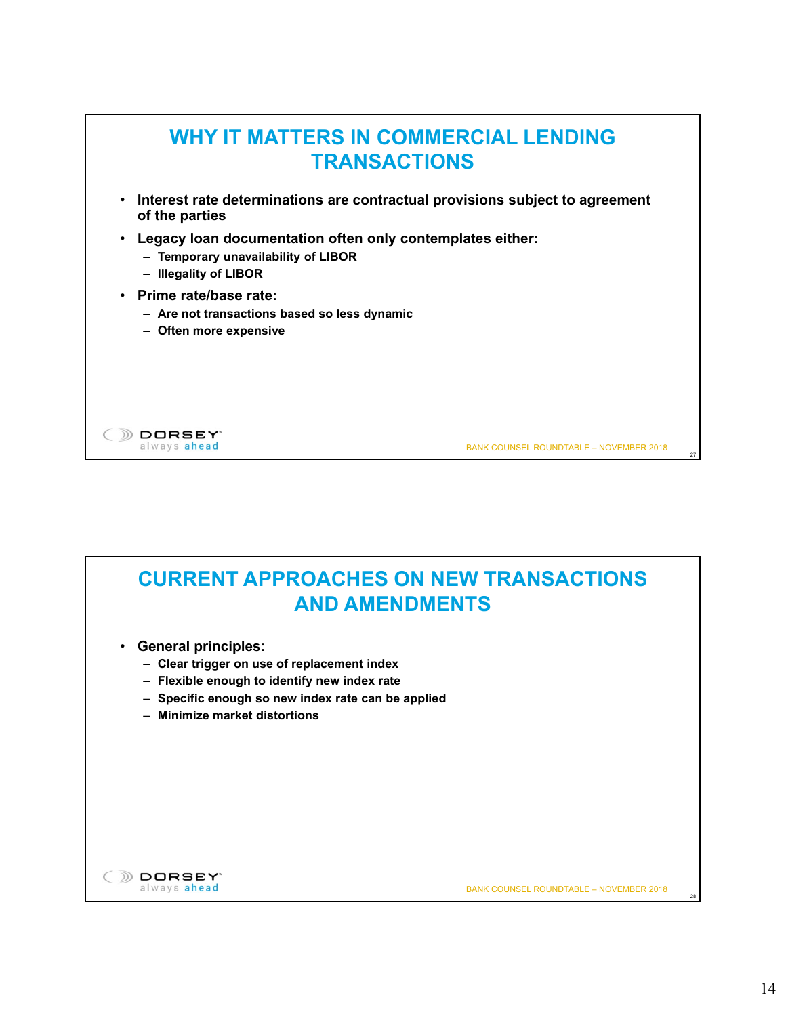

## **CURRENT APPROACHES ON NEW TRANSACTIONS AND AMENDMENTS**

- **General principles:**
	- **Clear trigger on use of replacement index**
	- **Flexible enough to identify new index rate**
	- **Specific enough so new index rate can be applied**
	- **Minimize market distortions**



BANK COUNSEL ROUNDTABLE – NOVEMBER 2018

28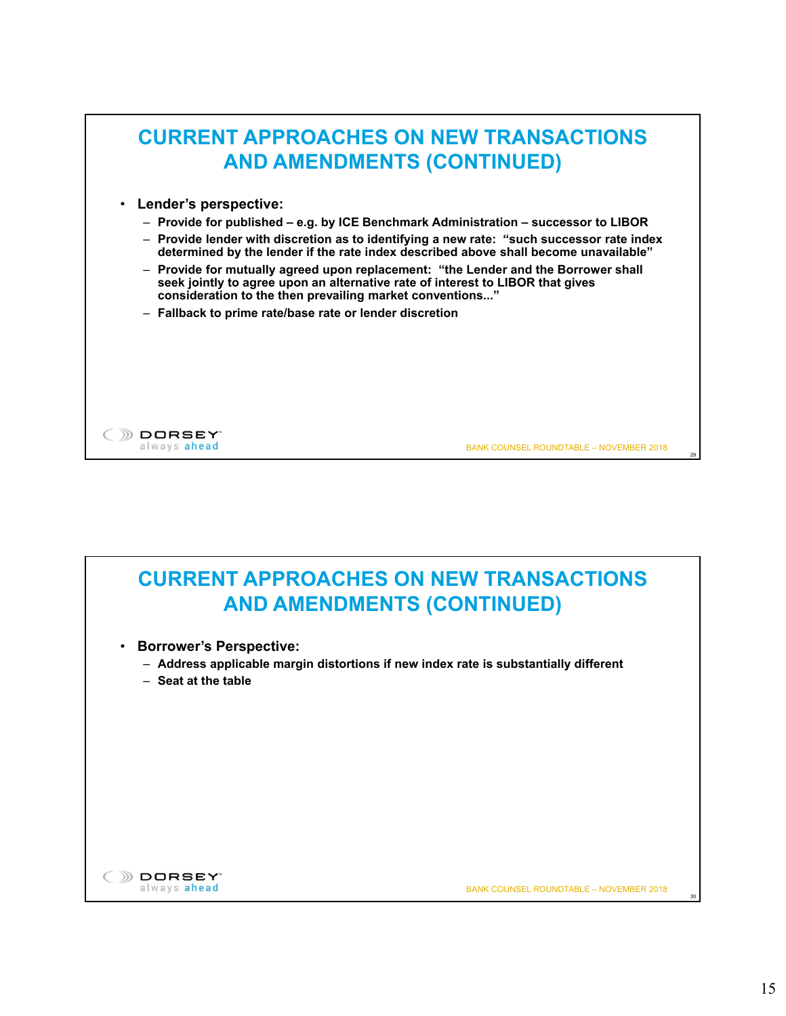



- **Borrower's Perspective:**
	- **Address applicable margin distortions if new index rate is substantially different**
	- **Seat at the table**



BANK COUNSEL ROUNDTABLE – NOVEMBER 2018

30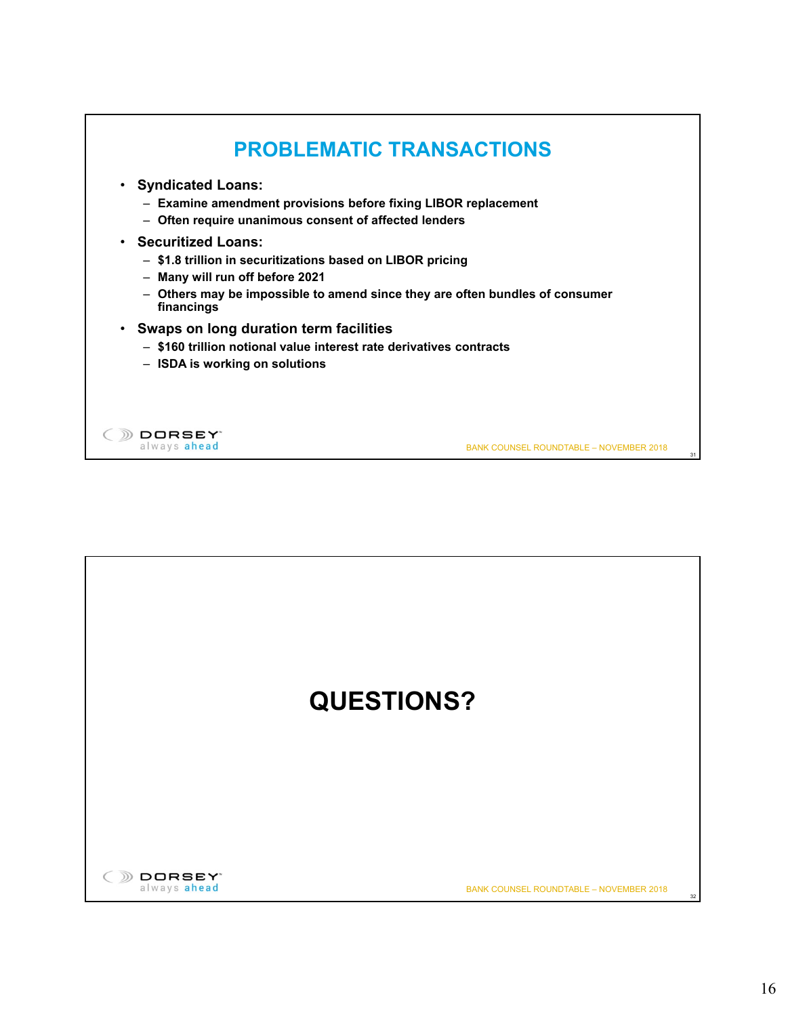

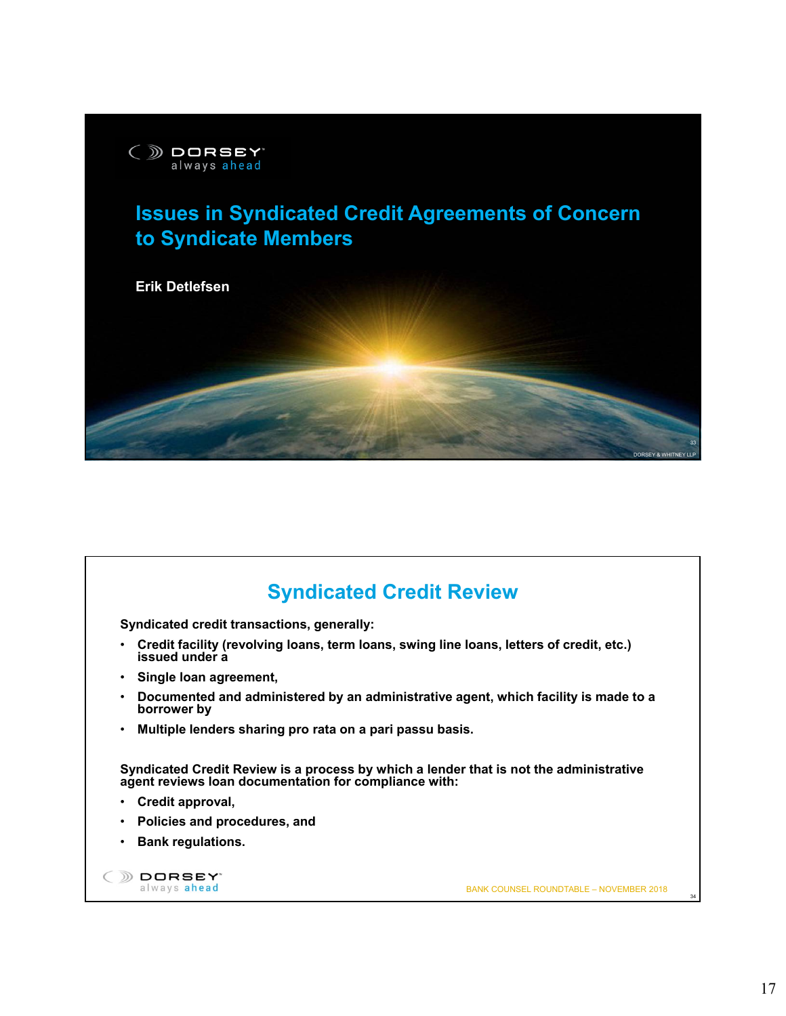

# **Issues in Syndicated Credit Agreements of Concern to Syndicate Members**



### **Syndicated Credit Review Syndicated credit transactions, generally:** • **Credit facility (revolving loans, term loans, swing line loans, letters of credit, etc.) issued under a** • **Single loan agreement,**  • **Documented and administered by an administrative agent, which facility is made to a borrower by**  • **Multiple lenders sharing pro rata on a pari passu basis. Syndicated Credit Review is a process by which a lender that is not the administrative agent reviews loan documentation for compliance with:** • **Credit approval,** • **Policies and procedures, and** • **Bank regulations.** ( ) DORSEY always ahead BANK COUNSEL ROUNDTABLE – NOVEMBER 2018 34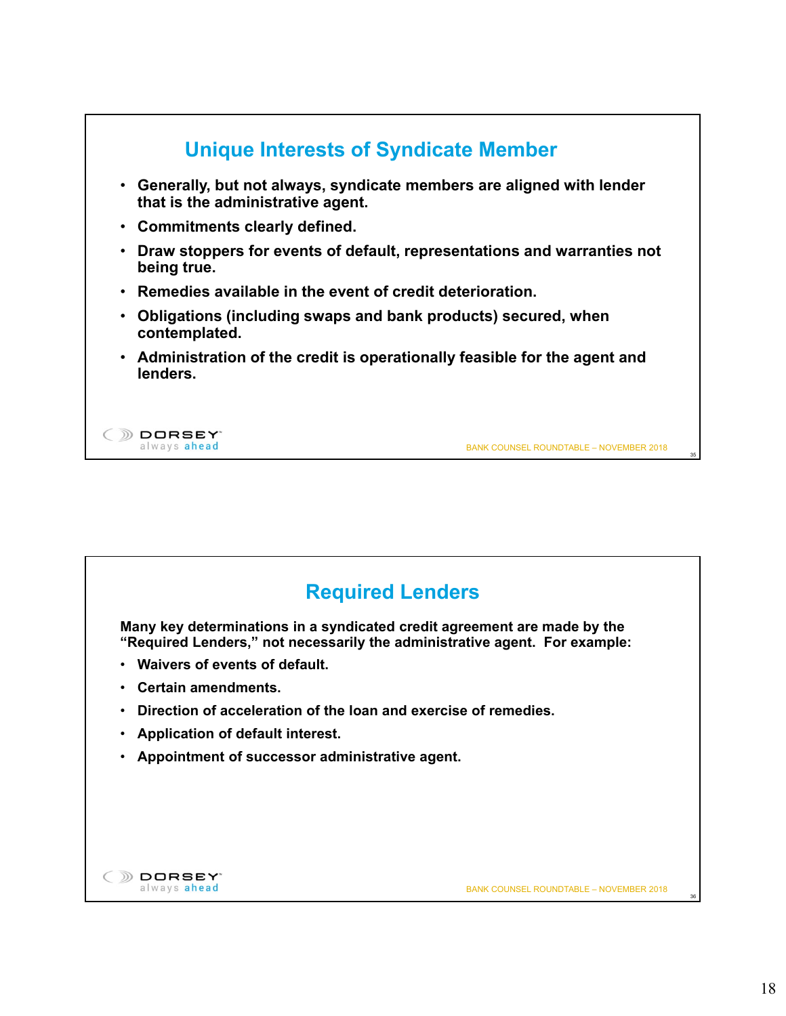

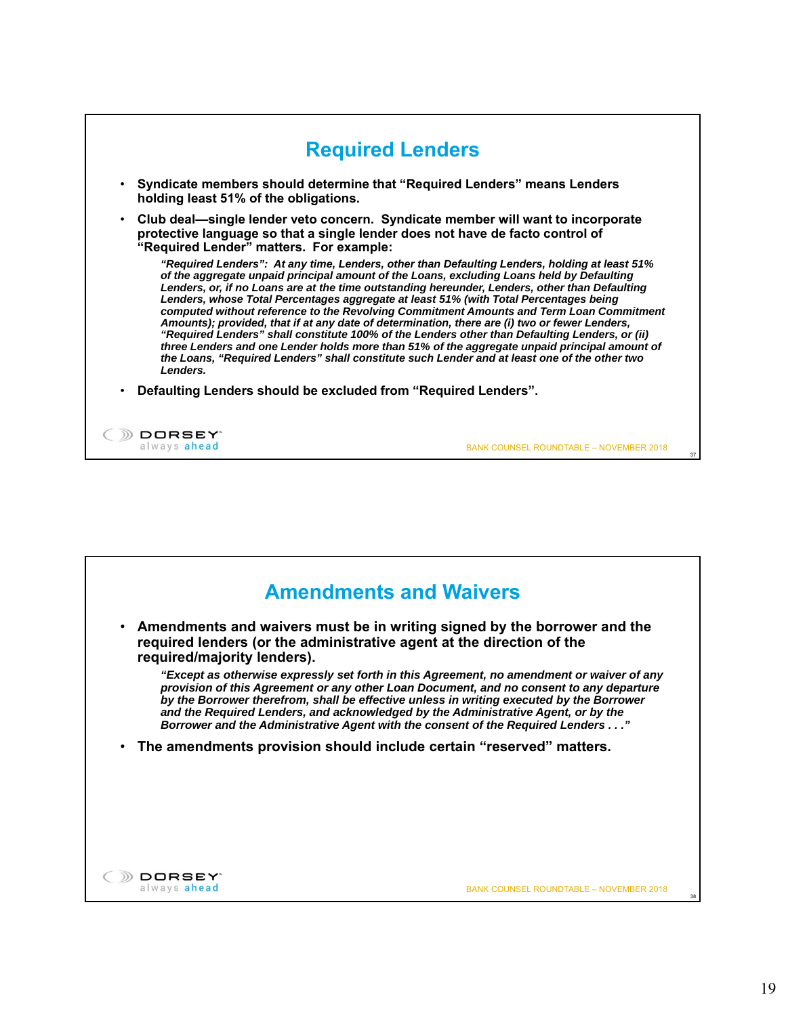

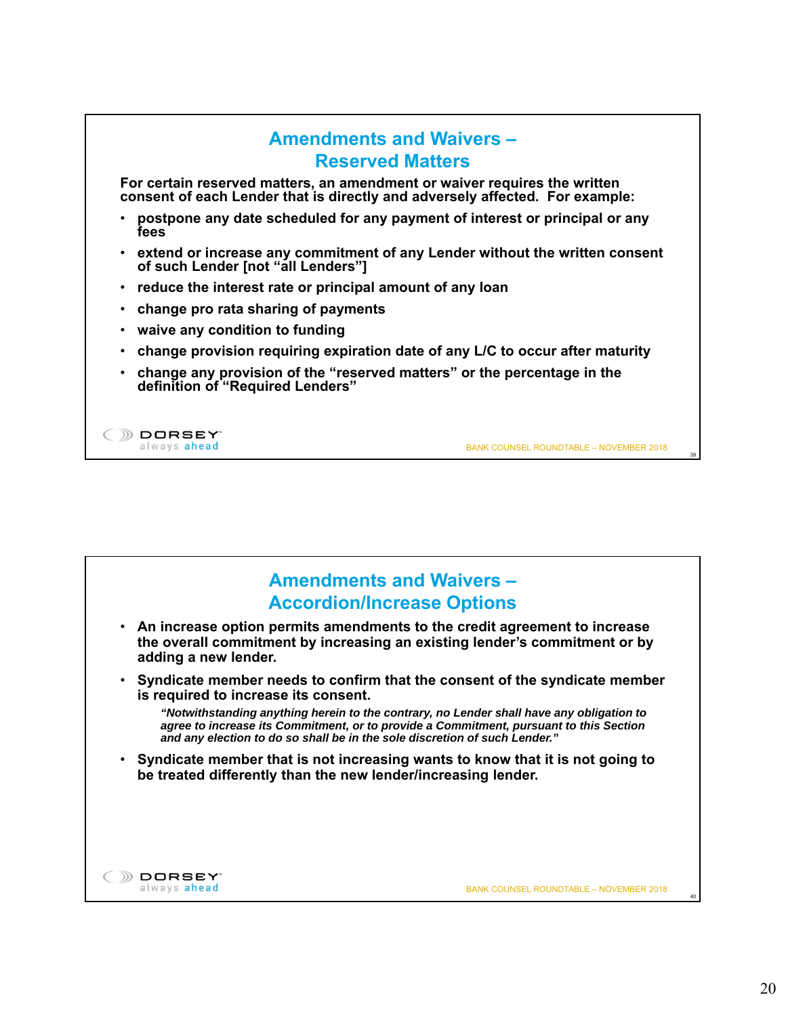

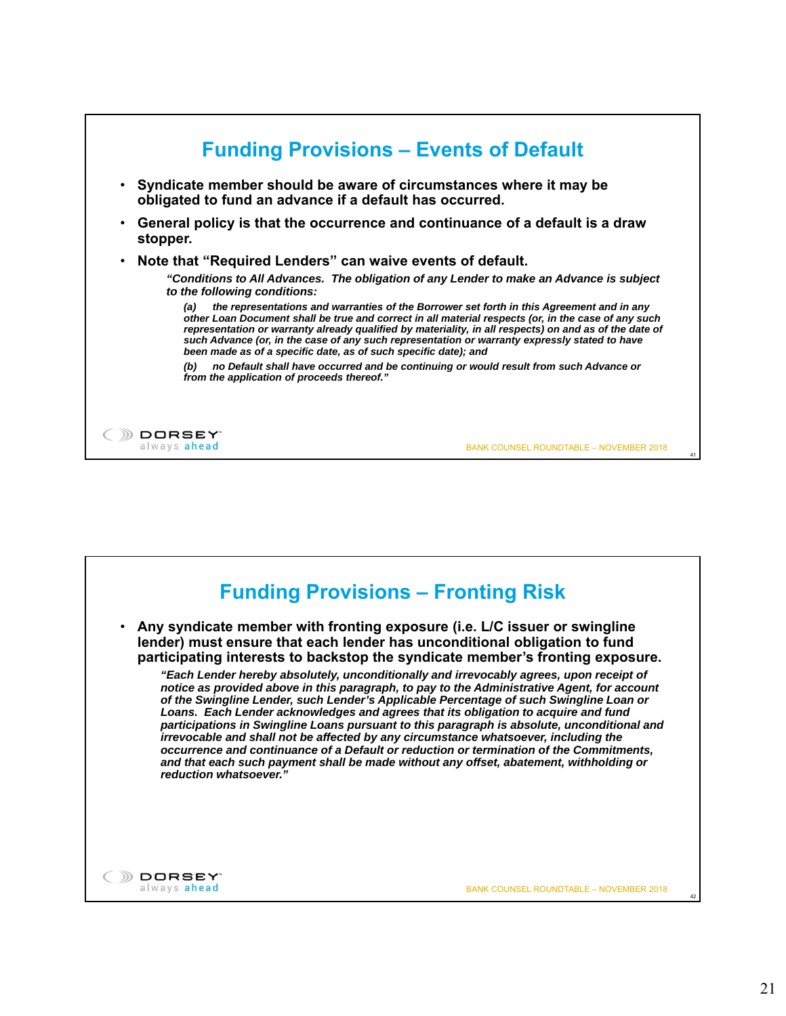

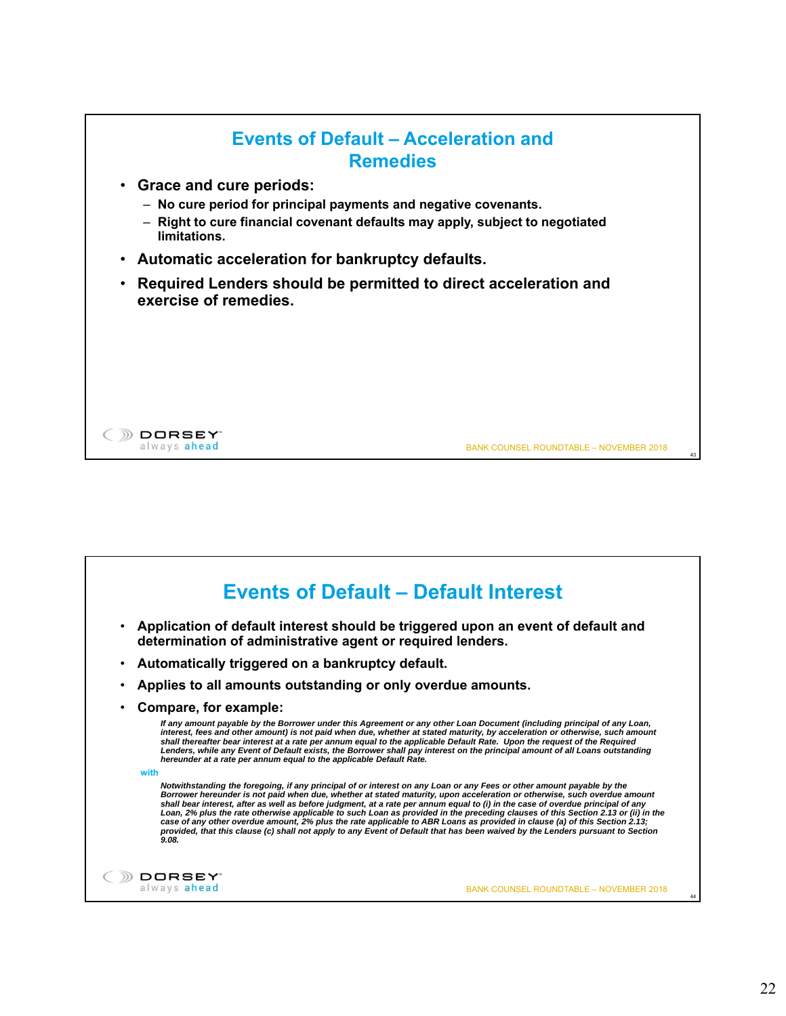

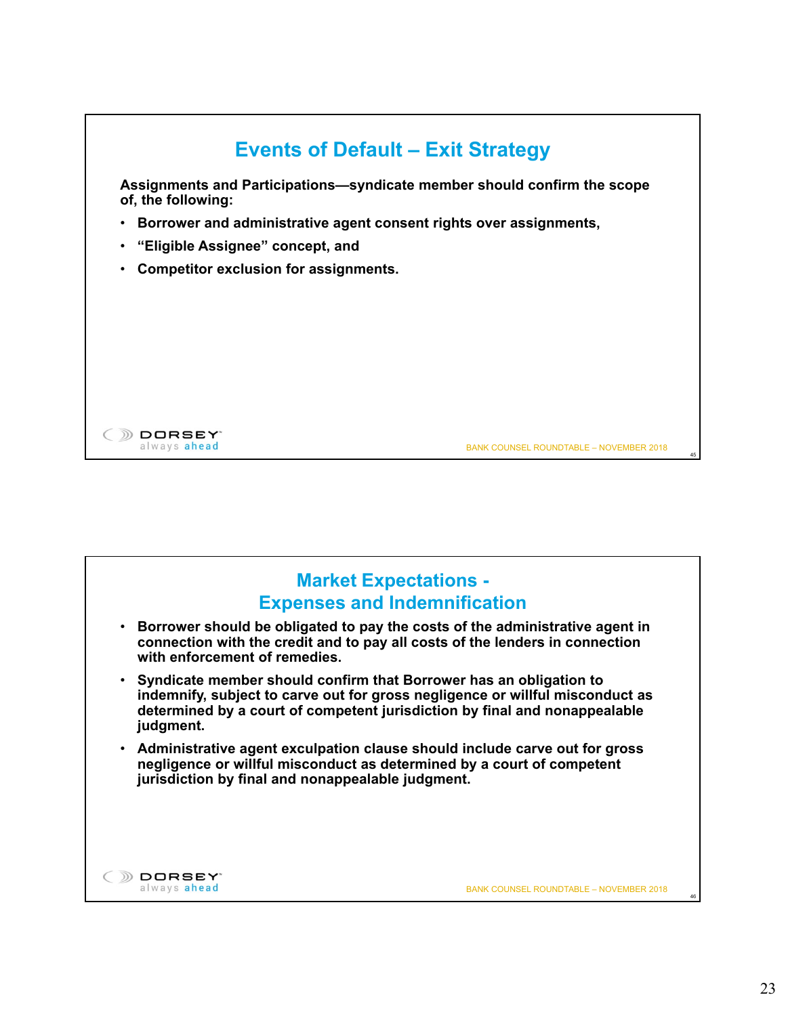

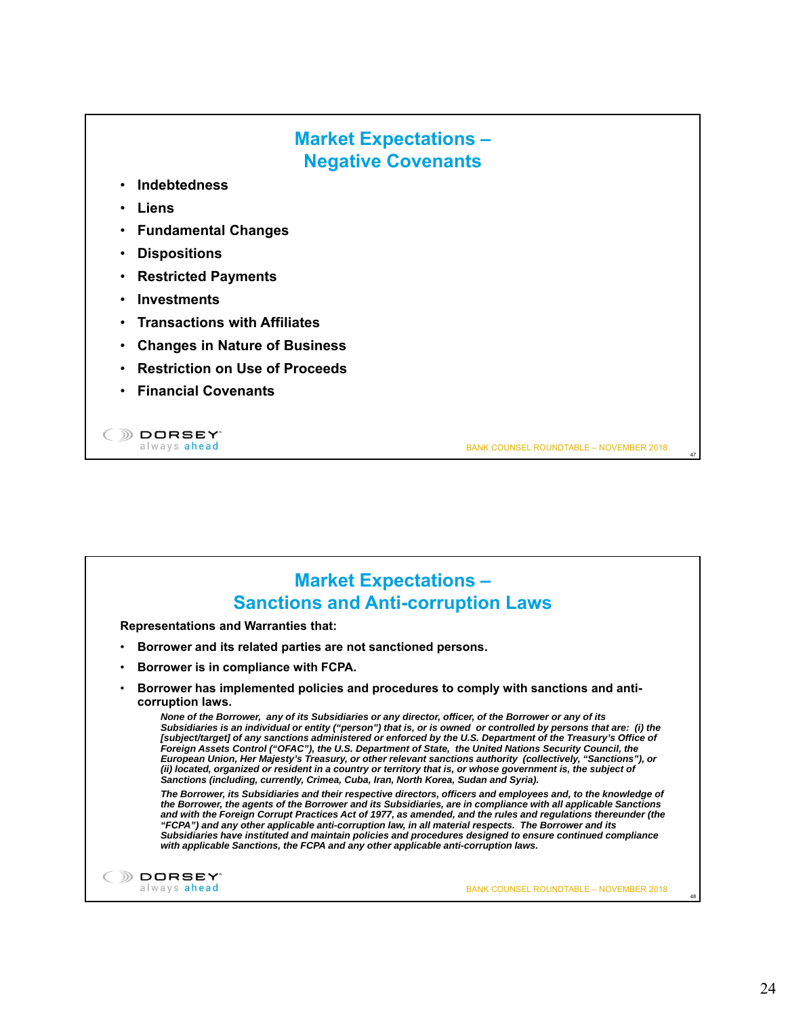### **Market Expectations – Negative Covenants**

- **Indebtedness**
- **Liens**
- **Fundamental Changes**
- **Dispositions**
- **Restricted Payments**
- **Investments**
- **Transactions with Affiliates**
- **Changes in Nature of Business**
- **Restriction on Use of Proceeds**
- **Financial Covenants**

DORSEY<sup>®</sup> always ahead

BANK COUNSEL ROUNDTABLE – NOVEMBER 2018

47

48

#### **Market Expectations – Sanctions and Anti-corruption Laws**

**Representations and Warranties that:**

- **Borrower and its related parties are not sanctioned persons.**
- **Borrower is in compliance with FCPA.**
- **Borrower has implemented policies and procedures to comply with sanctions and anticorruption laws.**

*None of the Borrower, any of its Subsidiaries or any director, officer, of the Borrower or any of its Subsidiaries is an individual or entity ("person") that is, or is owned or controlled by persons that are: (i) the [subject/target] of any sanctions administered or enforced by the U.S. Department of the Treasury's Office of Foreign Assets Control ("OFAC"), the U.S. Department of State, the United Nations Security Council, the European Union, Her Majesty's Treasury, or other relevant sanctions authority (collectively, "Sanctions"), or (ii) located, organized or resident in a country or territory that is, or whose government is, the subject of Sanctions (including, currently, Crimea, Cuba, Iran, North Korea, Sudan and Syria).*

*The Borrower, its Subsidiaries and their respective directors, officers and employees and, to the knowledge of the Borrower, the agents of the Borrower and its Subsidiaries, are in compliance with all applicable Sanctions and with the Foreign Corrupt Practices Act of 1977, as amended, and the rules and regulations thereunder (the "FCPA") and any other applicable anti-corruption law, in all material respects. The Borrower and its Subsidiaries have instituted and maintain policies and procedures designed to ensure continued compliance with applicable Sanctions, the FCPA and any other applicable anti-corruption laws.*



BANK COUNSEL ROUNDTABLE – NOVEMBER 2018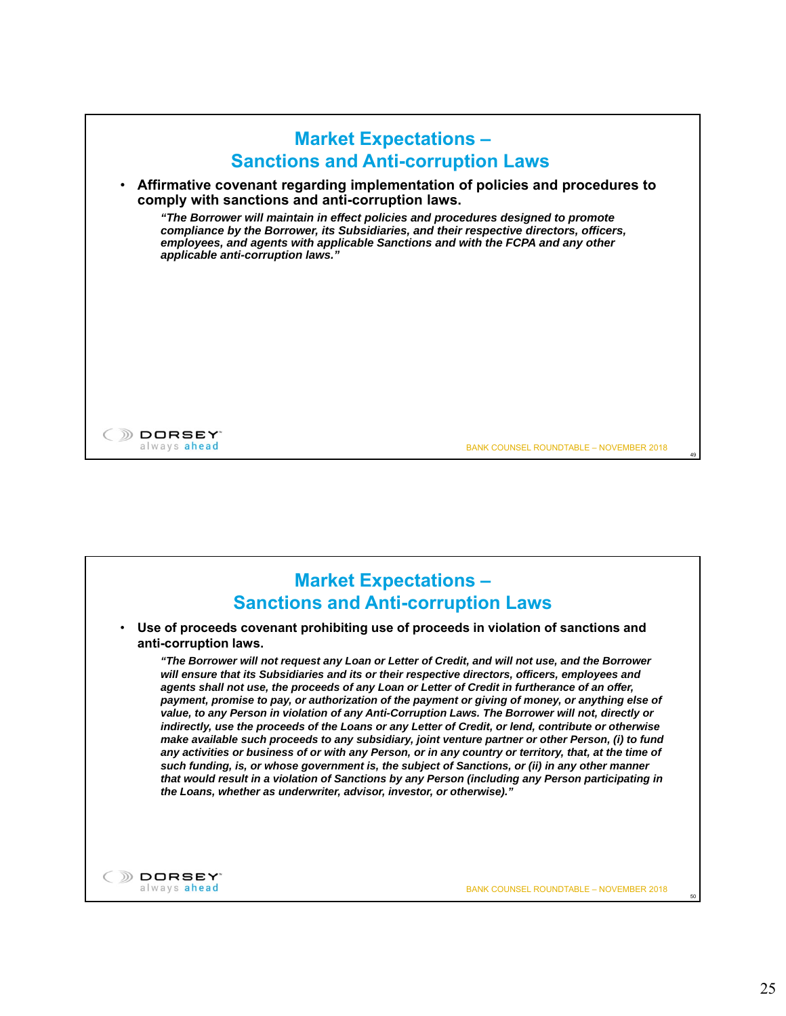